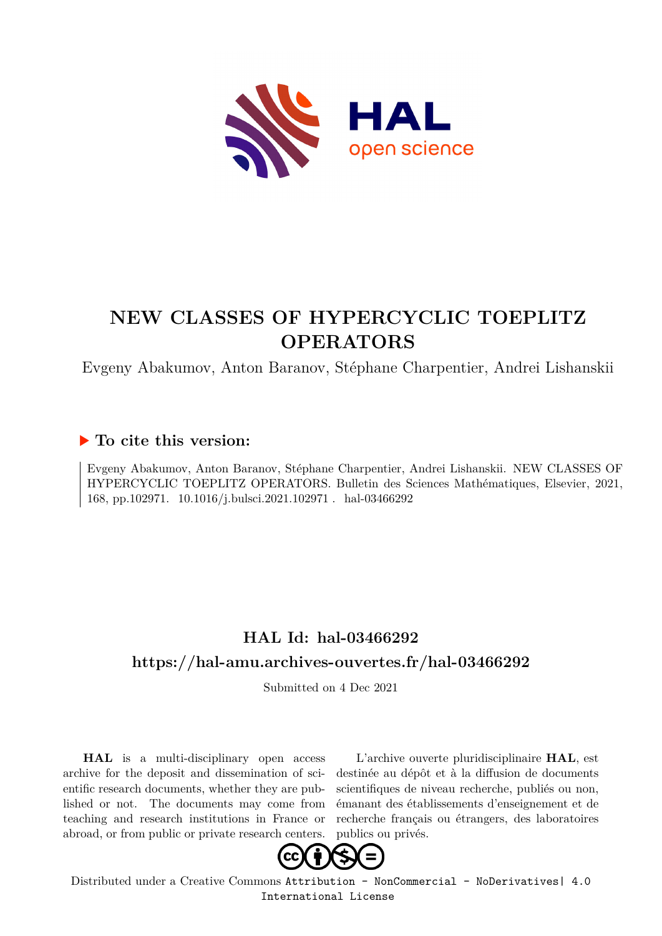

# **NEW CLASSES OF HYPERCYCLIC TOEPLITZ OPERATORS**

Evgeny Abakumov, Anton Baranov, Stéphane Charpentier, Andrei Lishanskii

### **To cite this version:**

Evgeny Abakumov, Anton Baranov, Stéphane Charpentier, Andrei Lishanskii. NEW CLASSES OF HYPERCYCLIC TOEPLITZ OPERATORS. Bulletin des Sciences Mathématiques, Elsevier, 2021, 168, pp.102971. 10.1016/j.bulsci.2021.102971. hal-03466292

## **HAL Id: hal-03466292 <https://hal-amu.archives-ouvertes.fr/hal-03466292>**

Submitted on 4 Dec 2021

**HAL** is a multi-disciplinary open access archive for the deposit and dissemination of scientific research documents, whether they are published or not. The documents may come from teaching and research institutions in France or abroad, or from public or private research centers.

L'archive ouverte pluridisciplinaire **HAL**, est destinée au dépôt et à la diffusion de documents scientifiques de niveau recherche, publiés ou non, émanant des établissements d'enseignement et de recherche français ou étrangers, des laboratoires publics ou privés.



Distributed under a Creative Commons [Attribution - NonCommercial - NoDerivatives| 4.0](http://creativecommons.org/licenses/by-nc-nd/4.0/) [International License](http://creativecommons.org/licenses/by-nc-nd/4.0/)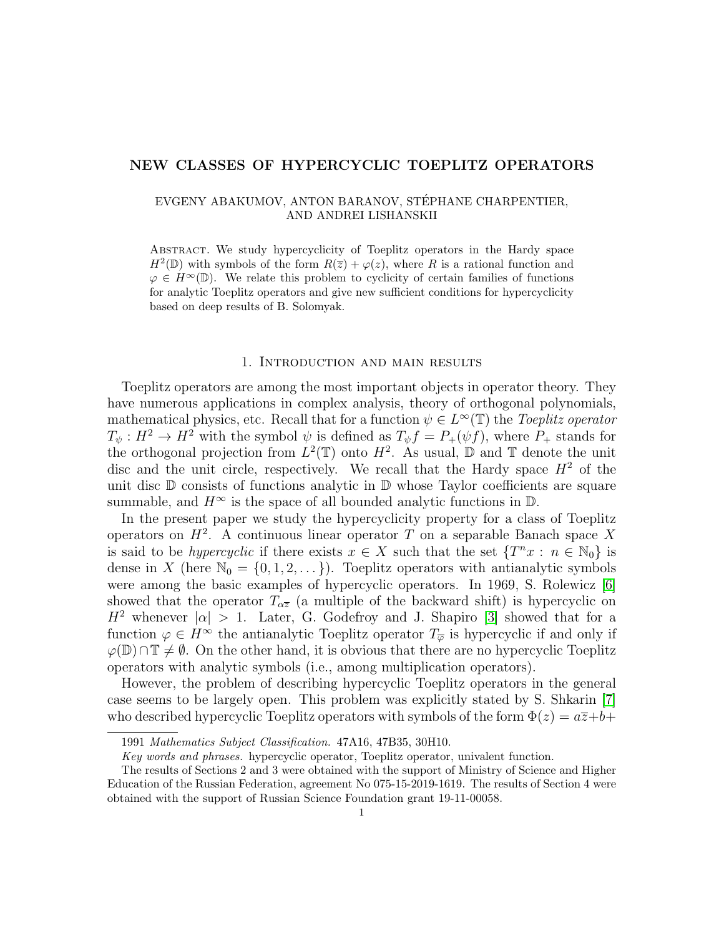#### NEW CLASSES OF HYPERCYCLIC TOEPLITZ OPERATORS

#### EVGENY ABAKUMOV, ANTON BARANOV, STEPHANE CHARPENTIER, ´ AND ANDREI LISHANSKII

Abstract. We study hypercyclicity of Toeplitz operators in the Hardy space  $H^2(\mathbb{D})$  with symbols of the form  $R(\overline{z}) + \varphi(z)$ , where R is a rational function and  $\varphi \in H^{\infty}(\mathbb{D})$ . We relate this problem to cyclicity of certain families of functions for analytic Toeplitz operators and give new sufficient conditions for hypercyclicity based on deep results of B. Solomyak.

#### 1. Introduction and main results

Toeplitz operators are among the most important objects in operator theory. They have numerous applications in complex analysis, theory of orthogonal polynomials, mathematical physics, etc. Recall that for a function  $\psi \in L^{\infty}(\mathbb{T})$  the Toeplitz operator  $T_{\psi}: H^2 \to H^2$  with the symbol  $\psi$  is defined as  $T_{\psi}f = P_{+}(\psi f)$ , where  $P_{+}$  stands for the orthogonal projection from  $L^2(\mathbb{T})$  onto  $H^2$ . As usual,  $\mathbb D$  and  $\mathbb T$  denote the unit disc and the unit circle, respectively. We recall that the Hardy space  $H^2$  of the unit disc  $D$  consists of functions analytic in  $D$  whose Taylor coefficients are square summable, and  $H^{\infty}$  is the space of all bounded analytic functions in  $\mathbb{D}$ .

In the present paper we study the hypercyclicity property for a class of Toeplitz operators on  $H^2$ . A continuous linear operator T on a separable Banach space X is said to be *hypercyclic* if there exists  $x \in X$  such that the set  $\{T^n x : n \in \mathbb{N}_0\}$  is dense in X (here  $\mathbb{N}_0 = \{0, 1, 2, \dots\}$ ). Toeplitz operators with antianalytic symbols were among the basic examples of hypercyclic operators. In 1969, S. Rolewicz [6] showed that the operator  $T_{\alpha\overline{z}}$  (a multiple of the backward shift) is hypercyclic on  $H^2$  whenever  $|\alpha| > 1$ . Later, G. Godefroy and J. Shapiro [3] showed that for a function  $\varphi \in H^{\infty}$  the antianalytic Toeplitz operator  $T_{\overline{\varphi}}$  is hypercyclic if and only if  $\varphi(\mathbb{D}) \cap \mathbb{T} \neq \emptyset$ . On the other hand, it is obvious that there are no hypercyclic Toeplitz operators with analytic symbols (i.e., among multiplication operators).

However, the problem of describing hypercyclic Toeplitz operators in the general case seems to be largely open. This problem was explicitly stated by S. Shkarin [7] who described hypercyclic Toeplitz operators with symbols of the form  $\Phi(z) = a\overline{z} + b + c$ 

<sup>1991</sup> Mathematics Subject Classification. 47A16, 47B35, 30H10.

Key words and phrases. hypercyclic operator, Toeplitz operator, univalent function.

The results of Sections 2 and 3 were obtained with the support of Ministry of Science and Higher Education of the Russian Federation, agreement No 075-15-2019-1619. The results of Section 4 were obtained with the support of Russian Science Foundation grant 19-11-00058.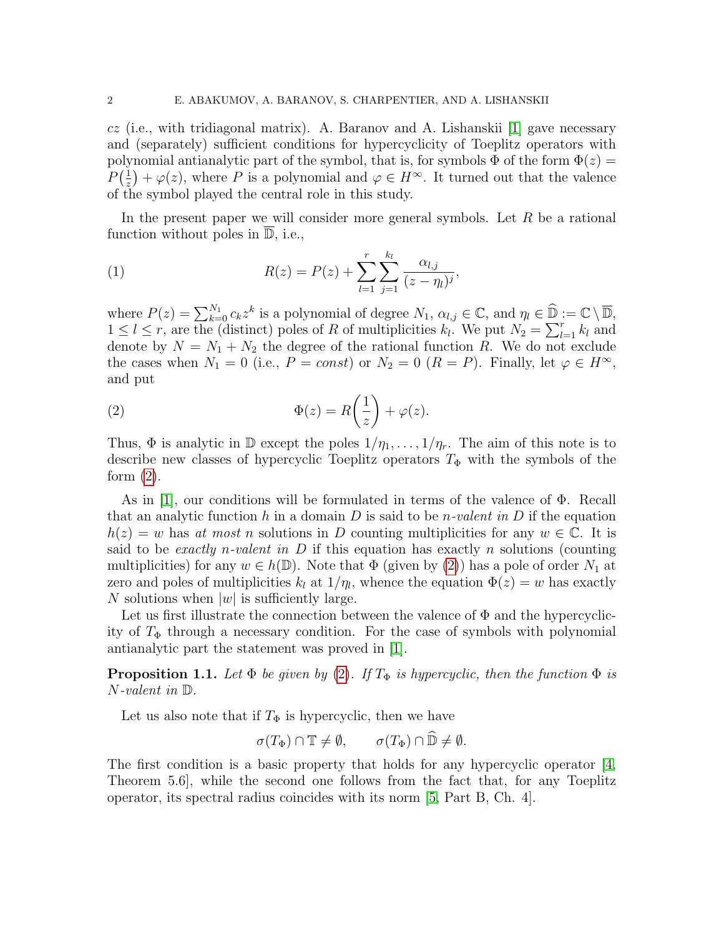$cz$  (i.e., with tridiagonal matrix). A. Baranov and A. Lishanskii [1] gave necessary and (separately) sufficient conditions for hypercyclicity of Toeplitz operators with polynomial antianalytic part of the symbol, that is, for symbols  $\Phi$  of the form  $\Phi(z)$  =  $P\left(\frac{1}{x}\right)$  $(\frac{1}{z}) + \varphi(z)$ , where P is a polynomial and  $\varphi \in H^{\infty}$ . It turned out that the valence of the symbol played the central role in this study.

In the present paper we will consider more general symbols. Let  $R$  be a rational function without poles in  $\overline{\mathbb{D}}$ , i.e.,

(1) 
$$
R(z) = P(z) + \sum_{l=1}^{r} \sum_{j=1}^{k_l} \frac{\alpha_{l,j}}{(z - \eta_l)^j},
$$

where  $P(z) = \sum_{k=0}^{N_1} c_k z^k$  is a polynomial of degree  $N_1$ ,  $\alpha_{l,j} \in \mathbb{C}$ , and  $\eta_l \in \widehat{\mathbb{D}} := \mathbb{C} \setminus \overline{\mathbb{D}}$ ,  $1 \leq l \leq r$ , are the (distinct) poles of R of multiplicities  $k_l$ . We put  $N_2 = \sum_{l=1}^r k_l$  and denote by  $N = N_1 + N_2$  the degree of the rational function R. We do not exclude the cases when  $N_1 = 0$  (i.e.,  $P = const$ ) or  $N_2 = 0$  ( $R = P$ ). Finally, let  $\varphi \in H^{\infty}$ , and put

(2) 
$$
\Phi(z) = R\left(\frac{1}{z}\right) + \varphi(z).
$$

Thus,  $\Phi$  is analytic in  $\mathbb D$  except the poles  $1/\eta_1, \ldots, 1/\eta_r$ . The aim of this note is to describe new classes of hypercyclic Toeplitz operators  $T_{\Phi}$  with the symbols of the form  $(2)$ .

As in [1], our conditions will be formulated in terms of the valence of Φ. Recall that an analytic function h in a domain D is said to be n-valent in D if the equation  $h(z) = w$  has at most n solutions in D counting multiplicities for any  $w \in \mathbb{C}$ . It is said to be *exactly n-valent in*  $D$  if this equation has exactly n solutions (counting multiplicities) for any  $w \in h(\mathbb{D})$ . Note that  $\Phi$  (given by (2)) has a pole of order  $N_1$  at zero and poles of multiplicities  $k_l$  at  $1/\eta_l$ , whence the equation  $\Phi(z) = w$  has exactly N solutions when  $|w|$  is sufficiently large.

Let us first illustrate the connection between the valence of  $\Phi$  and the hypercyclicity of  $T_{\Phi}$  through a necessary condition. For the case of symbols with polynomial antianalytic part the statement was proved in [1].

**Proposition 1.1.** Let  $\Phi$  be given by (2). If  $T_{\Phi}$  is hypercyclic, then the function  $\Phi$  is N-valent in D.

Let us also note that if  $T_{\Phi}$  is hypercyclic, then we have

$$
\sigma(T_{\Phi}) \cap \mathbb{T} \neq \emptyset, \qquad \sigma(T_{\Phi}) \cap \widehat{\mathbb{D}} \neq \emptyset.
$$

The first condition is a basic property that holds for any hypercyclic operator [4, Theorem 5.6], while the second one follows from the fact that, for any Toeplitz operator, its spectral radius coincides with its norm [5, Part B, Ch. 4].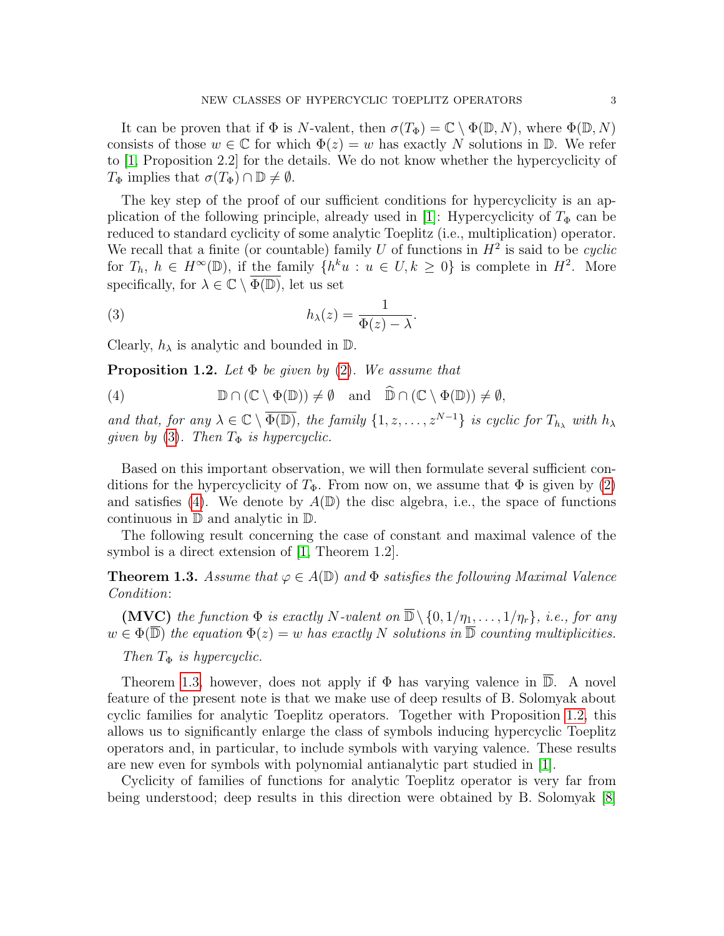It can be proven that if  $\Phi$  is N-valent, then  $\sigma(T_{\Phi}) = \mathbb{C} \setminus \Phi(\mathbb{D}, N)$ , where  $\Phi(\mathbb{D}, N)$ consists of those  $w \in \mathbb{C}$  for which  $\Phi(z) = w$  has exactly N solutions in D. We refer to [1, Proposition 2.2] for the details. We do not know whether the hypercyclicity of  $T_{\Phi}$  implies that  $\sigma(T_{\Phi}) \cap \mathbb{D} \neq \emptyset$ .

The key step of the proof of our sufficient conditions for hypercyclicity is an application of the following principle, already used in [1]: Hypercyclicity of  $T_{\Phi}$  can be reduced to standard cyclicity of some analytic Toeplitz (i.e., multiplication) operator. We recall that a finite (or countable) family U of functions in  $H^2$  is said to be *cyclic* for  $T_h$ ,  $h \in H^{\infty}(\mathbb{D})$ , if the family  $\{h^k u : u \in U, k \geq 0\}$  is complete in  $H^2$ . More specifically, for  $\lambda \in \mathbb{C} \setminus \overline{\Phi(\mathbb{D})}$ , let us set

(3) 
$$
h_{\lambda}(z) = \frac{1}{\Phi(z) - \lambda}.
$$

Clearly,  $h_{\lambda}$  is analytic and bounded in  $\mathbb{D}$ .

**Proposition 1.2.** Let  $\Phi$  be given by (2). We assume that

(4) 
$$
\mathbb{D} \cap (\mathbb{C} \setminus \Phi(\mathbb{D})) \neq \emptyset \text{ and } \widehat{\mathbb{D}} \cap (\mathbb{C} \setminus \Phi(\mathbb{D})) \neq \emptyset,
$$

and that, for any  $\lambda \in \mathbb{C} \setminus \overline{\Phi(\mathbb{D})}$ , the family  $\{1, z, \ldots, z^{N-1}\}$  is cyclic for  $T_{h_{\lambda}}$  with  $h_{\lambda}$ given by (3). Then  $T_{\Phi}$  is hypercyclic.

Based on this important observation, we will then formulate several sufficient conditions for the hypercyclicity of  $T_{\Phi}$ . From now on, we assume that  $\Phi$  is given by (2) and satisfies (4). We denote by  $A(\mathbb{D})$  the disc algebra, i.e., the space of functions continuous in D and analytic in D.

The following result concerning the case of constant and maximal valence of the symbol is a direct extension of [1, Theorem 1.2].

**Theorem 1.3.** Assume that  $\varphi \in A(\mathbb{D})$  and  $\Phi$  satisfies the following Maximal Valence Condition:

(MVC) the function  $\Phi$  is exactly N-valent on  $\overline{\mathbb{D}} \setminus \{0, 1/\eta_1, \ldots, 1/\eta_r\}$ , i.e., for any  $w \in \Phi(\overline{\mathbb{D}})$  the equation  $\Phi(z) = w$  has exactly N solutions in  $\overline{\mathbb{D}}$  counting multiplicities.

Then  $T_{\Phi}$  is hypercyclic.

Theorem 1.3, however, does not apply if  $\Phi$  has varying valence in  $\overline{\mathbb{D}}$ . A novel feature of the present note is that we make use of deep results of B. Solomyak about cyclic families for analytic Toeplitz operators. Together with Proposition 1.2, this allows us to significantly enlarge the class of symbols inducing hypercyclic Toeplitz operators and, in particular, to include symbols with varying valence. These results are new even for symbols with polynomial antianalytic part studied in [1].

Cyclicity of families of functions for analytic Toeplitz operator is very far from being understood; deep results in this direction were obtained by B. Solomyak [8]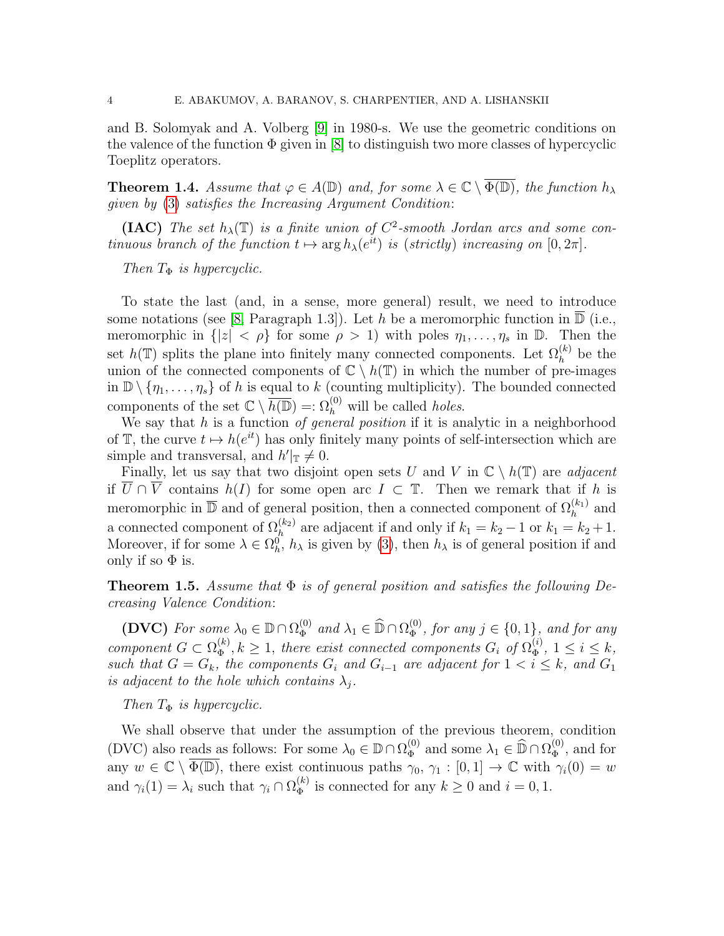and B. Solomyak and A. Volberg [9] in 1980-s. We use the geometric conditions on the valence of the function  $\Phi$  given in [8] to distinguish two more classes of hypercyclic Toeplitz operators.

**Theorem 1.4.** Assume that  $\varphi \in A(\mathbb{D})$  and, for some  $\lambda \in \mathbb{C} \setminus \overline{\Phi(\mathbb{D})}$ , the function  $h_{\lambda}$ given by (3) satisfies the Increasing Argument Condition:

(IAC) The set  $h_{\lambda}(\mathbb{T})$  is a finite union of  $C^2$ -smooth Jordan arcs and some continuous branch of the function  $t \mapsto \arg h_{\lambda}(e^{it})$  is (strictly) increasing on  $[0, 2\pi]$ .

Then  $T_{\Phi}$  is hypercyclic.

To state the last (and, in a sense, more general) result, we need to introduce some notations (see [8, Paragraph 1.3]). Let h be a meromorphic function in  $\mathbb{D}$  (i.e., meromorphic in  $\{|z| < \rho\}$  for some  $\rho > 1$ ) with poles  $\eta_1, \ldots, \eta_s$  in  $\mathbb{D}$ . Then the set  $h(\mathbb{T})$  splits the plane into finitely many connected components. Let  $\Omega_h^{(k)}$  be the union of the connected components of  $\mathbb{C} \setminus h(\mathbb{T})$  in which the number of pre-images in  $\mathbb{D} \setminus \{\eta_1, \ldots, \eta_s\}$  of h is equal to k (counting multiplicity). The bounded connected components of the set  $\mathbb{C} \setminus \overline{h(\mathbb{D})} =: \Omega_h^{(0)}$  will be called *holes*.

We say that  $h$  is a function of general position if it is analytic in a neighborhood of T, the curve  $t \mapsto h(e^{it})$  has only finitely many points of self-intersection which are simple and transversal, and  $h'|_{\mathbb{T}} \neq 0$ .

Finally, let us say that two disjoint open sets U and V in  $\mathbb{C} \setminus h(\mathbb{T})$  are *adjacent* if  $\overline{U} \cap \overline{V}$  contains  $h(I)$  for some open arc  $I \subset \mathbb{T}$ . Then we remark that if h is meromorphic in  $\overline{\mathbb{D}}$  and of general position, then a connected component of  $\Omega_h^{(k_1)}$  and a connected component of  $\Omega_h^{(k_2)}$  are adjacent if and only if  $k_1 = k_2 - 1$  or  $k_1 = k_2 + 1$ . Moreover, if for some  $\lambda \in \Omega_h^0$ ,  $h_\lambda$  is given by (3), then  $h_\lambda$  is of general position if and only if so  $\Phi$  is.

**Theorem 1.5.** Assume that  $\Phi$  is of general position and satisfies the following Decreasing Valence Condition:

(DVC) For some  $\lambda_0 \in \mathbb{D} \cap \Omega_{\Phi}^{(0)}$  $_{\Phi}^{(0)}$  and  $\lambda_1 \in \widehat{\mathbb{D}} \cap \Omega_{\Phi}^{(0)}$  $\phi_{\Phi}^{(0)}$ , for any  $j \in \{0,1\}$ , and for any component  $G \subset \Omega_{\Phi}^{(k)}$  $\mathcal{L}_{\Phi}^{(k)}, k \geq 1$ , there exist connected components  $G_i$  of  $\Omega_{\Phi}^{(i)}$  $\mathcal{L}_{\Phi}^{(i)}, 1 \leq i \leq k,$ such that  $G = G_k$ , the components  $G_i$  and  $G_{i-1}$  are adjacent for  $1 < i \leq k$ , and  $G_1$ is adjacent to the hole which contains  $\lambda_j$ .

#### Then  $T_{\Phi}$  is hypercyclic.

We shall observe that under the assumption of the previous theorem, condition (DVC) also reads as follows: For some  $\lambda_0 \in \mathbb{D} \cap \Omega_{\Phi}^{(0)}$  $\widehat{\Phi}_{\Phi}^{(0)}$  and some  $\lambda_1 \in \widehat{\mathbb{D}} \cap \Omega_{\Phi}^{(0)}$  $\Phi_{\Phi}^{(0)}$ , and for any  $w \in \mathbb{C} \setminus \overline{\Phi(\mathbb{D})}$ , there exist continuous paths  $\gamma_0, \gamma_1 : [0,1] \to \mathbb{C}$  with  $\gamma_i(0) = w$ and  $\gamma_i(1) = \lambda_i$  such that  $\gamma_i \cap \Omega_{\Phi}^{(k)}$  $\phi_{\Phi}^{(k)}$  is connected for any  $k \geq 0$  and  $i = 0, 1$ .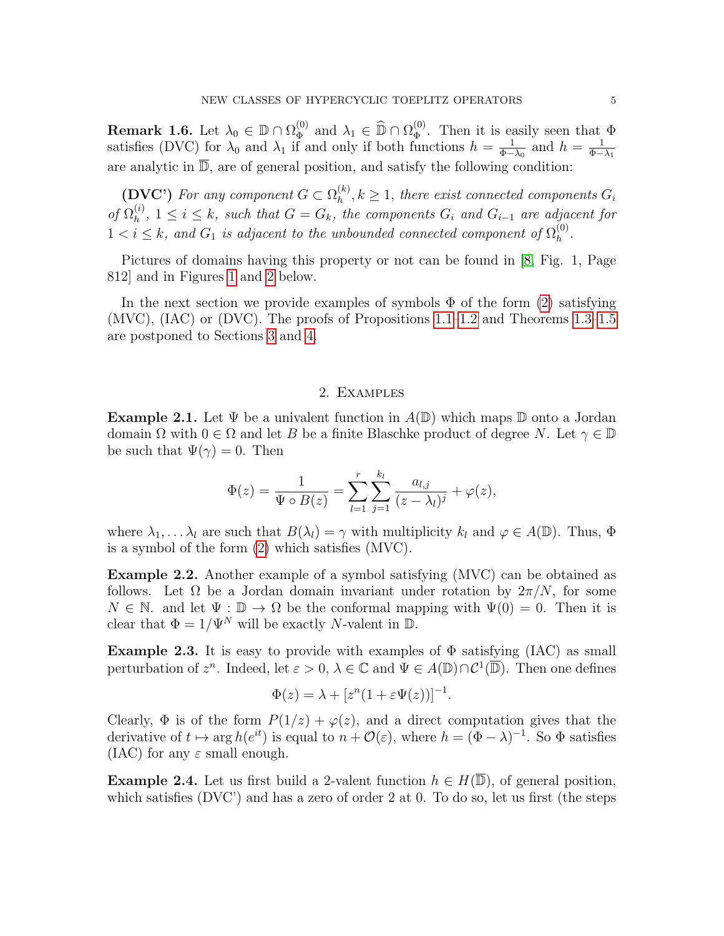**Remark 1.6.** Let  $\lambda_0 \in \mathbb{D} \cap \Omega_{\Phi}^{(0)}$  $\widehat{\Phi}_{\Phi}^{(0)}$  and  $\lambda_1 \in \widehat{\mathbb{D}} \cap \Omega_{\Phi}^{(0)}$  $\Phi_{\Phi}^{(0)}$ . Then it is easily seen that  $\Phi$ satisfies (DVC) for  $\lambda_0$  and  $\lambda_1$  if and only if both functions  $h = \frac{1}{\Phi_-}$  $\frac{1}{\Phi-\lambda_0}$  and  $h=\frac{1}{\Phi-}$  $_{\Phi-\lambda_1}$ are analytic in  $\overline{\mathbb{D}}$ , are of general position, and satisfy the following condition:

(DVC') For any component  $G \subset \Omega_h^{(k)}$  $h_h^{(k)}$ ,  $k \geq 1$ , there exist connected components  $G_i$ of  $\Omega_h^{(i)}$  $h^{(i)}$ ,  $1 \leq i \leq k$ , such that  $G = G_k$ , the components  $G_i$  and  $G_{i-1}$  are adjacent for  $1 < i \leq k$ , and  $G_1$  is adjacent to the unbounded connected component of  $\Omega_h^{(0)}$  $\mathop{h}\limits^{(0)}$ .

Pictures of domains having this property or not can be found in [8, Fig. 1, Page 812] and in Figures 1 and 2 below.

In the next section we provide examples of symbols  $\Phi$  of the form (2) satisfying (MVC), (IAC) or (DVC). The proofs of Propositions 1.1–1.2 and Theorems 1.3–1.5 are postponed to Sections 3 and 4.

#### 2. Examples

**Example 2.1.** Let  $\Psi$  be a univalent function in  $A(\mathbb{D})$  which maps  $\mathbb D$  onto a Jordan domain  $\Omega$  with  $0 \in \Omega$  and let B be a finite Blaschke product of degree N. Let  $\gamma \in \mathbb{D}$ be such that  $\Psi(\gamma) = 0$ . Then

$$
\Phi(z) = \frac{1}{\Psi \circ B(z)} = \sum_{l=1}^{r} \sum_{j=1}^{k_l} \frac{a_{l,j}}{(z - \lambda_l)^j} + \varphi(z),
$$

where  $\lambda_1, \ldots, \lambda_l$  are such that  $B(\lambda_l) = \gamma$  with multiplicity  $k_l$  and  $\varphi \in A(\mathbb{D})$ . Thus,  $\Phi$ is a symbol of the form (2) which satisfies (MVC).

Example 2.2. Another example of a symbol satisfying (MVC) can be obtained as follows. Let  $\Omega$  be a Jordan domain invariant under rotation by  $2\pi/N$ , for some  $N \in \mathbb{N}$ . and let  $\Psi : \mathbb{D} \to \Omega$  be the conformal mapping with  $\Psi(0) = 0$ . Then it is clear that  $\Phi = 1/\Psi^N$  will be exactly N-valent in D.

**Example 2.3.** It is easy to provide with examples of  $\Phi$  satisfying (IAC) as small perturbation of  $z^n$ . Indeed, let  $\varepsilon > 0$ ,  $\lambda \in \mathbb{C}$  and  $\Psi \in A(\mathbb{D}) \cap C^1(\overline{\mathbb{D}})$ . Then one defines

$$
\Phi(z) = \lambda + [z^n(1 + \varepsilon \Psi(z))]^{-1}.
$$

Clearly,  $\Phi$  is of the form  $P(1/z) + \varphi(z)$ , and a direct computation gives that the derivative of  $t \mapsto \arg h(e^{it})$  is equal to  $n + \mathcal{O}(\varepsilon)$ , where  $h = (\Phi - \lambda)^{-1}$ . So  $\Phi$  satisfies (IAC) for any  $\varepsilon$  small enough.

**Example 2.4.** Let us first build a 2-valent function  $h \in H(\overline{\mathbb{D}})$ , of general position, which satisfies (DVC') and has a zero of order 2 at 0. To do so, let us first (the steps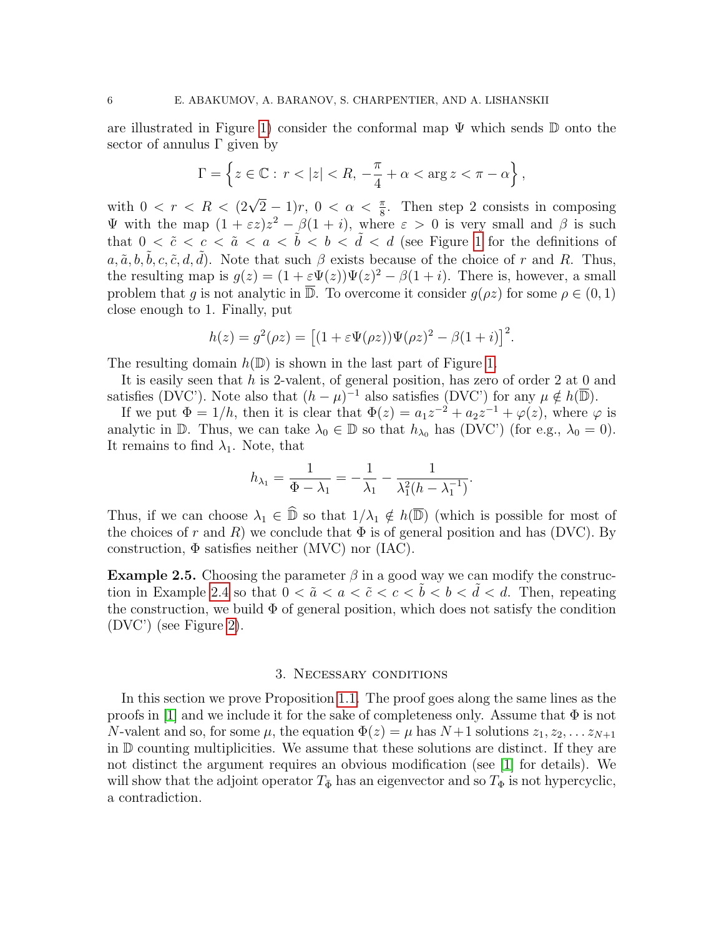are illustrated in Figure 1) consider the conformal map  $\Psi$  which sends  $\mathbb D$  onto the sector of annulus  $\Gamma$  given by

$$
\Gamma = \left\{ z \in \mathbb{C} : r < |z| < R, -\frac{\pi}{4} + \alpha < \arg z < \pi - \alpha \right\},\
$$

with  $0 < r < R < (2\sqrt{2}-1)r$ ,  $0 < \alpha < \frac{\pi}{8}$ . Then step 2 consists in composing  $\Psi$  with the map  $(1 + \varepsilon z)z^2 - \beta(1 + i)$ , where  $\varepsilon > 0$  is very small and  $\beta$  is such that  $0 < \tilde{c} < c < \tilde{a} < a < \tilde{b} < b < \tilde{d} < d$  (see Figure 1 for the definitions of  $a, \tilde{a}, b, \tilde{b}, c, \tilde{c}, d, \tilde{d}$ . Note that such  $\beta$  exists because of the choice of r and R. Thus, the resulting map is  $g(z) = (1 + \varepsilon \Psi(z))\Psi(z)^2 - \beta(1 + i)$ . There is, however, a small problem that g is not analytic in  $\overline{\mathbb{D}}$ . To overcome it consider  $g(\rho z)$  for some  $\rho \in (0, 1)$ close enough to 1. Finally, put

$$
h(z) = g2(\rho z) = [(1 + \varepsilon \Psi(\rho z))\Psi(\rho z)2 - \beta(1 + i)]2.
$$

The resulting domain  $h(\mathbb{D})$  is shown in the last part of Figure 1.

It is easily seen that h is 2-valent, of general position, has zero of order 2 at 0 and satisfies (DVC'). Note also that  $(h - \mu)^{-1}$  also satisfies (DVC') for any  $\mu \notin h(\overline{\mathbb{D}})$ .

If we put  $\Phi = 1/h$ , then it is clear that  $\Phi(z) = a_1 z^{-2} + a_2 z^{-1} + \varphi(z)$ , where  $\varphi$  is analytic in  $\mathbb D$ . Thus, we can take  $\lambda_0 \in \mathbb D$  so that  $h_{\lambda_0}$  has (DVC') (for e.g.,  $\lambda_0 = 0$ ). It remains to find  $\lambda_1$ . Note, that

$$
h_{\lambda_1} = \frac{1}{\Phi - \lambda_1} = -\frac{1}{\lambda_1} - \frac{1}{\lambda_1^2 (h - \lambda_1^{-1})}.
$$

Thus, if we can choose  $\lambda_1 \in \widehat{\mathbb{D}}$  so that  $1/\lambda_1 \notin h(\overline{\mathbb{D}})$  (which is possible for most of the choices of r and R) we conclude that  $\Phi$  is of general position and has (DVC). By construction,  $\Phi$  satisfies neither (MVC) nor (IAC).

**Example 2.5.** Choosing the parameter  $\beta$  in a good way we can modify the construction in Example 2.4 so that  $0 < \tilde{a} < a < \tilde{c} < c < \tilde{b} < b < \tilde{d} < d$ . Then, repeating the construction, we build  $\Phi$  of general position, which does not satisfy the condition (DVC') (see Figure 2).

#### 3. Necessary conditions

In this section we prove Proposition 1.1. The proof goes along the same lines as the proofs in [1] and we include it for the sake of completeness only. Assume that  $\Phi$  is not N-valent and so, for some  $\mu$ , the equation  $\Phi(z) = \mu$  has  $N+1$  solutions  $z_1, z_2, \ldots z_{N+1}$ in D counting multiplicities. We assume that these solutions are distinct. If they are not distinct the argument requires an obvious modification (see [1] for details). We will show that the adjoint operator  $T_{\bar{\Phi}}$  has an eigenvector and so  $T_{\Phi}$  is not hypercyclic, a contradiction.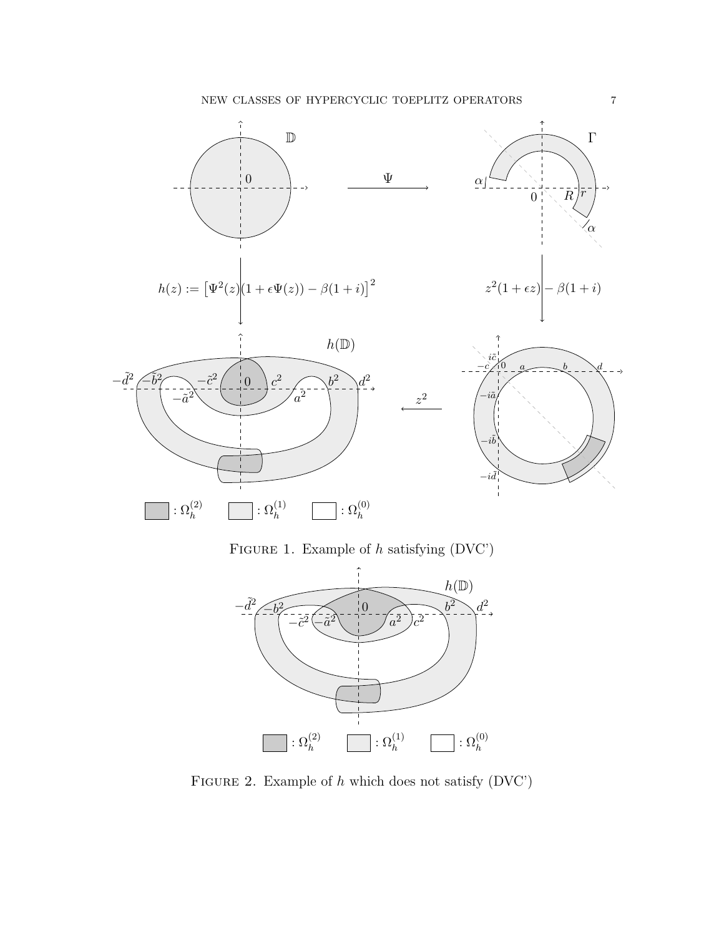







FIGURE 1. Example of  $h$  satisfying  $(DVC')$ 



FIGURE 2. Example of  $h$  which does not satisfy (DVC')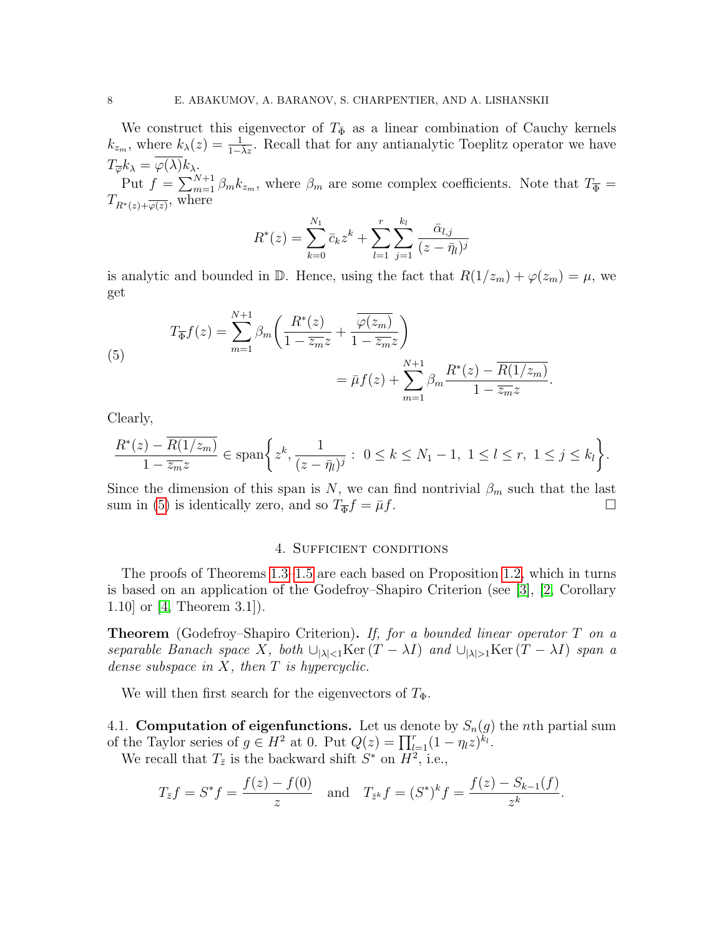We construct this eigenvector of  $T_{\Phi}$  as a linear combination of Cauchy kernels  $k_{z_m}$ , where  $k_{\lambda}(z) = \frac{1}{1-\lambda z}$ . Recall that for any antianalytic Toeplitz operator we have  $T_{\overline{\varphi}}k_{\lambda} = \varphi(\lambda)k_{\lambda}.$ 

Put  $f = \sum_{m=1}^{N+1} \beta_m k_{z_m}$ , where  $\beta_m$  are some complex coefficients. Note that  $T_{\overline{\Phi}} =$  $T_{R^*(z)+\overline{\varphi(z)}},$  where

$$
R^*(z) = \sum_{k=0}^{N_1} \bar{c}_k z^k + \sum_{l=1}^r \sum_{j=1}^{k_l} \frac{\bar{\alpha}_{l,j}}{(z - \bar{\eta}_l)^j}
$$

is analytic and bounded in  $\mathbb{D}$ . Hence, using the fact that  $R(1/z_m) + \varphi(z_m) = \mu$ , we get

(5) 
$$
T_{\overline{\Phi}}f(z) = \sum_{m=1}^{N+1} \beta_m \left( \frac{R^*(z)}{1 - \overline{z_m} z} + \frac{\overline{\varphi(z_m)}}{1 - \overline{z_m} z} \right)
$$

$$
= \bar{\mu}f(z) + \sum_{m=1}^{N+1} \beta_m \frac{R^*(z) - \overline{R(1/z_m)}}{1 - \overline{z_m} z}.
$$

Clearly,

$$
\frac{R^*(z) - \overline{R(1/z_m)}}{1 - \overline{z_m}z} \in \text{span}\bigg\{z^k, \frac{1}{(z - \bar{\eta}_l)^j} : 0 \le k \le N_1 - 1, 1 \le l \le r, 1 \le j \le k_l\bigg\}.
$$

Since the dimension of this span is N, we can find nontrivial  $\beta_m$  such that the last sum in (5) is identically zero, and so  $T_{\overline{\Phi}}f = \overline{\mu}f$ .

#### 4. Sufficient conditions

The proofs of Theorems 1.3–1.5 are each based on Proposition 1.2, which in turns is based on an application of the Godefroy–Shapiro Criterion (see [3], [2, Corollary 1.10] or [4, Theorem 3.1]).

**Theorem** (Godefroy–Shapiro Criterion). If, for a bounded linear operator  $T$  on a separable Banach space X, both  $\bigcup_{|\lambda|< 1}$ Ker  $(T - \lambda I)$  and  $\bigcup_{|\lambda|> 1}$ Ker  $(T - \lambda I)$  span a dense subspace in  $X$ , then  $T$  is hypercyclic.

We will then first search for the eigenvectors of  $T_{\Phi}$ .

4.1. Computation of eigenfunctions. Let us denote by  $S_n(g)$  the nth partial sum of the Taylor series of  $g \in H^2$  at 0. Put  $Q(z) = \prod_{l=1}^r (1 - \eta_l z)^{k_l}$ .

We recall that  $T_{\bar{z}}$  is the backward shift  $S^*$  on  $H^2$ , i.e.,

$$
T_{\bar{z}}f = S^*f = \frac{f(z) - f(0)}{z}
$$
 and  $T_{\bar{z}^k}f = (S^*)^k f = \frac{f(z) - S_{k-1}(f)}{z^k}$ .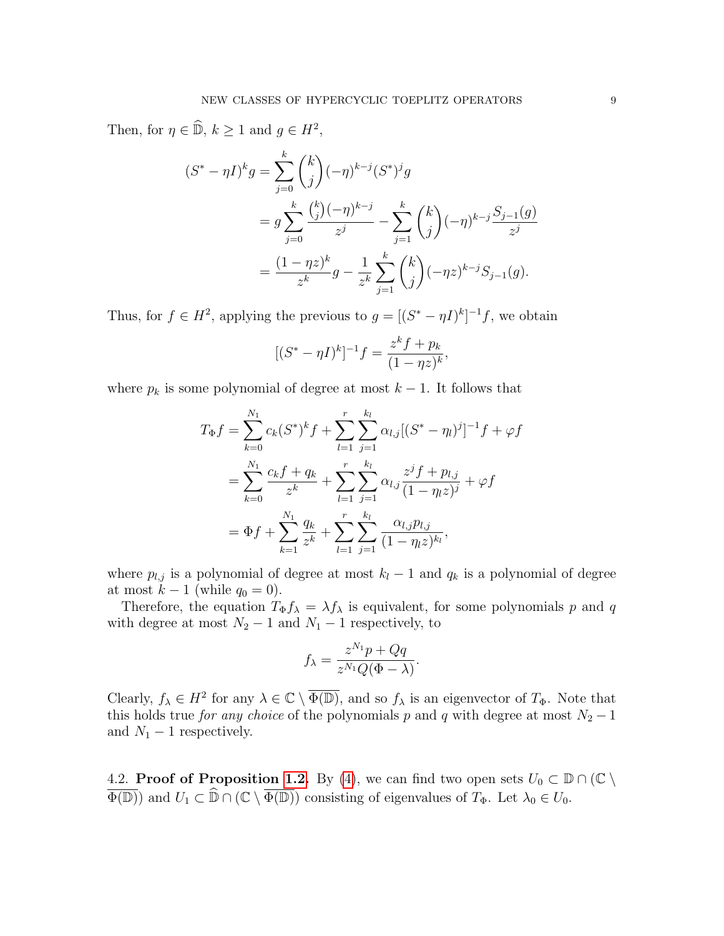Then, for  $\eta \in \widehat{\mathbb{D}}$ ,  $k \ge 1$  and  $g \in H^2$ ,

$$
(S^* - \eta I)^k g = \sum_{j=0}^k {k \choose j} (-\eta)^{k-j} (S^*)^j g
$$
  
=  $g \sum_{j=0}^k \frac{{k \choose j} (-\eta)^{k-j}}{z^j} - \sum_{j=1}^k {k \choose j} (-\eta)^{k-j} \frac{S_{j-1}(g)}{z^j}$   
=  $\frac{(1 - \eta z)^k}{z^k} g - \frac{1}{z^k} \sum_{j=1}^k {k \choose j} (-\eta z)^{k-j} S_{j-1}(g).$ 

Thus, for  $f \in H^2$ , applying the previous to  $g = [(S^* - \eta I)^k]^{-1} f$ , we obtain

$$
[(S^* - \eta I)^k]^{-1} f = \frac{z^k f + p_k}{(1 - \eta z)^k},
$$

where  $p_k$  is some polynomial of degree at most  $k-1$ . It follows that

$$
T_{\Phi}f = \sum_{k=0}^{N_1} c_k (S^*)^k f + \sum_{l=1}^r \sum_{j=1}^{k_l} \alpha_{l,j} [(S^* - \eta_l)^j]^{-1} f + \varphi f
$$
  
= 
$$
\sum_{k=0}^{N_1} \frac{c_k f + q_k}{z^k} + \sum_{l=1}^r \sum_{j=1}^{k_l} \alpha_{l,j} \frac{z^j f + p_{l,j}}{(1 - \eta_l z)^j} + \varphi f
$$
  
= 
$$
\Phi f + \sum_{k=1}^{N_1} \frac{q_k}{z^k} + \sum_{l=1}^r \sum_{j=1}^{k_l} \frac{\alpha_{l,j} p_{l,j}}{(1 - \eta_l z)^{k_l}},
$$

where  $p_{l,j}$  is a polynomial of degree at most  $k_l - 1$  and  $q_k$  is a polynomial of degree at most  $k-1$  (while  $q_0 = 0$ ).

Therefore, the equation  $T_{\Phi} f_{\lambda} = \lambda f_{\lambda}$  is equivalent, for some polynomials p and q with degree at most  $N_2 - 1$  and  $N_1 - 1$  respectively, to

$$
f_{\lambda} = \frac{z^{N_1}p + Qq}{z^{N_1}Q(\Phi - \lambda)}.
$$

Clearly,  $f_{\lambda} \in H^2$  for any  $\lambda \in \mathbb{C} \setminus \overline{\Phi(\mathbb{D})}$ , and so  $f_{\lambda}$  is an eigenvector of  $T_{\Phi}$ . Note that this holds true *for any choice* of the polynomials p and q with degree at most  $N_2 - 1$ and  $N_1 - 1$  respectively.

4.2. **Proof of Proposition 1.2.** By (4), we can find two open sets  $U_0 \subset \mathbb{D} \cap (\mathbb{C} \setminus \mathbb{C})$  $\overline{\Phi(\mathbb{D})}$  and  $U_1 \subset \widehat{\mathbb{D}} \cap (\mathbb{C} \setminus \overline{\Phi(\mathbb{D})})$  consisting of eigenvalues of  $T_{\Phi}$ . Let  $\lambda_0 \in U_0$ .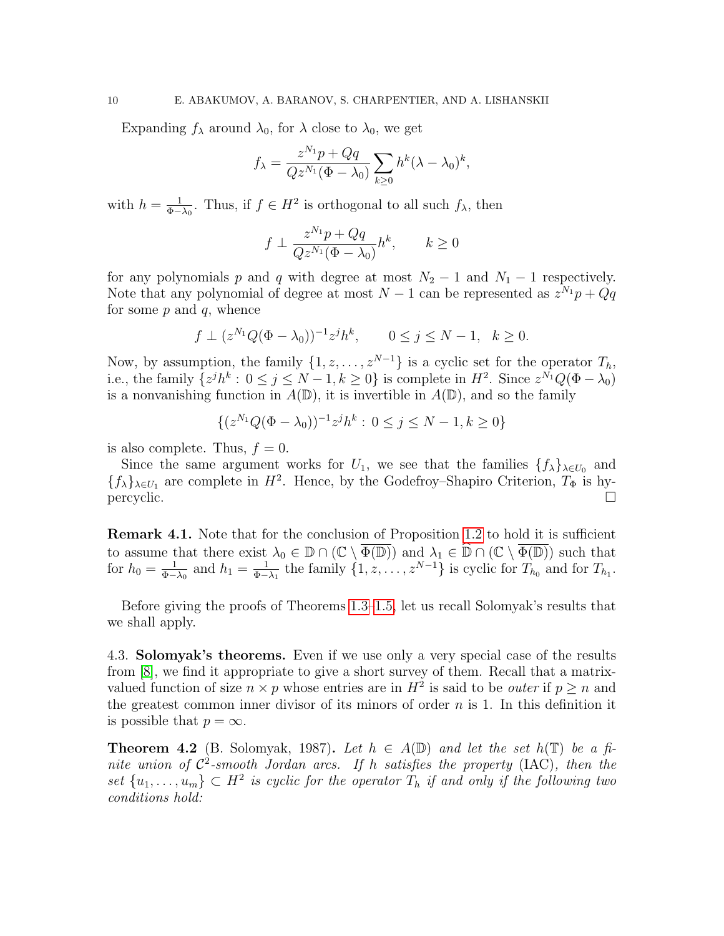Expanding  $f_{\lambda}$  around  $\lambda_0$ , for  $\lambda$  close to  $\lambda_0$ , we get

$$
f_{\lambda} = \frac{z^{N_1}p + Qq}{Qz^{N_1}(\Phi - \lambda_0)} \sum_{k \ge 0} h^k (\lambda - \lambda_0)^k,
$$

with  $h=\frac{1}{\Phi}$  $\frac{1}{\Phi-\lambda_0}$ . Thus, if  $f \in H^2$  is orthogonal to all such  $f_\lambda$ , then

$$
f \perp \frac{z^{N_1}p + Qq}{Q z^{N_1}(\Phi - \lambda_0)} h^k, \qquad k \ge 0
$$

for any polynomials p and q with degree at most  $N_2 - 1$  and  $N_1 - 1$  respectively. Note that any polynomial of degree at most  $N-1$  can be represented as  $z^{N_1}p + Qq$ for some  $p$  and  $q$ , whence

$$
f \perp (z^{N_1}Q(\Phi - \lambda_0))^{-1}z^jh^k
$$
,  $0 \le j \le N - 1$ ,  $k \ge 0$ .

Now, by assumption, the family  $\{1, z, ..., z^{N-1}\}$  is a cyclic set for the operator  $T_h$ , i.e., the family  $\{z^{j}h^{k}: 0 \leq j \leq N-1, k \geq 0\}$  is complete in  $H^{2}$ . Since  $z^{N_{1}}Q(\Phi - \lambda_{0})$ is a nonvanishing function in  $A(\mathbb{D})$ , it is invertible in  $A(\mathbb{D})$ , and so the family

$$
\{(z^{N_1}Q(\Phi - \lambda_0))^{-1}z^jh^k : 0 \le j \le N - 1, k \ge 0\}
$$

is also complete. Thus,  $f = 0$ .

Since the same argument works for  $U_1$ , we see that the families  $\{f_\lambda\}_{\lambda \in U_0}$  and  $\{f_{\lambda}\}_{{\lambda}\in U_1}$  are complete in  $H^2$ . Hence, by the Godefroy–Shapiro Criterion,  $T_{\Phi}$  is hypercyclic.

Remark 4.1. Note that for the conclusion of Proposition 1.2 to hold it is sufficient to assume that there exist  $\lambda_0 \in \mathbb{D} \cap (\mathbb{C} \setminus \overline{\Phi(\mathbb{D})})$  and  $\lambda_1 \in \widehat{\mathbb{D}} \cap (\mathbb{C} \setminus \overline{\Phi(\mathbb{D})})$  such that for  $h_0 = \frac{1}{\Phi -}$  $\frac{1}{\Phi - \lambda_0}$  and  $h_1 = \frac{1}{\Phi - \lambda_0}$  $\frac{1}{\Phi-\lambda_1}$  the family  $\{1, z, \ldots, z^{N-1}\}$  is cyclic for  $T_{h_0}$  and for  $T_{h_1}$ .

Before giving the proofs of Theorems 1.3–1.5, let us recall Solomyak's results that we shall apply.

4.3. Solomyak's theorems. Even if we use only a very special case of the results from [8], we find it appropriate to give a short survey of them. Recall that a matrixvalued function of size  $n \times p$  whose entries are in  $H^2$  is said to be *outer* if  $p \geq n$  and the greatest common inner divisor of its minors of order  $n$  is 1. In this definition it is possible that  $p = \infty$ .

**Theorem 4.2** (B. Solomyak, 1987). Let  $h \in A(\mathbb{D})$  and let the set  $h(\mathbb{T})$  be a finite union of  $\mathcal{C}^2$ -smooth Jordan arcs. If h satisfies the property (IAC), then the set  $\{u_1, \ldots, u_m\} \subset H^2$  is cyclic for the operator  $T_h$  if and only if the following two conditions hold: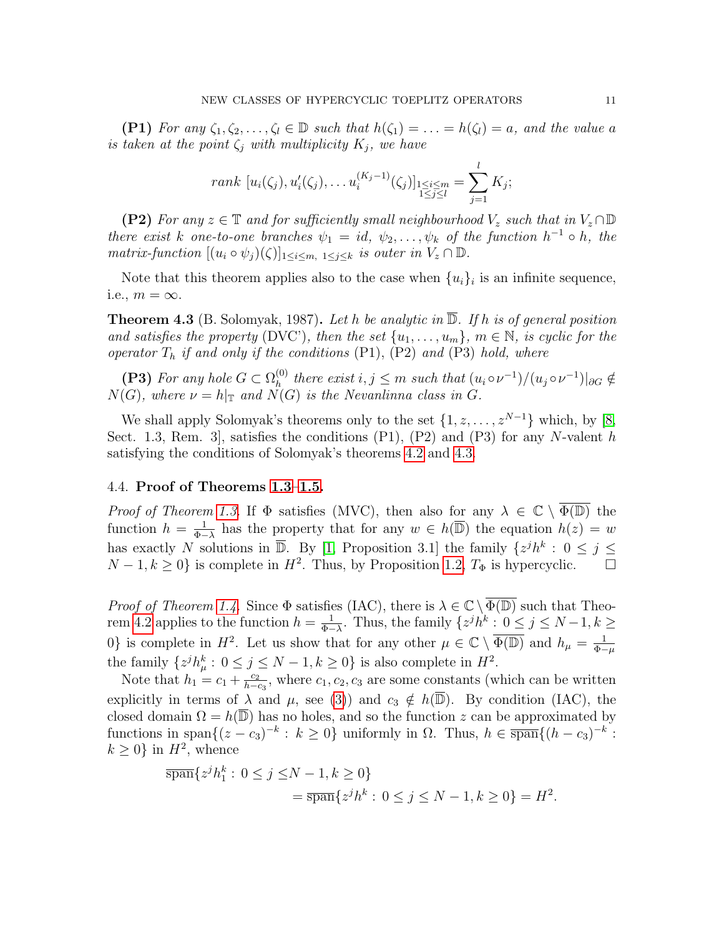(P1) For any  $\zeta_1, \zeta_2, \ldots, \zeta_l \in \mathbb{D}$  such that  $h(\zeta_1) = \ldots = h(\zeta_l) = a$ , and the value a is taken at the point  $\zeta_i$  with multiplicity  $K_i$ , we have

rank 
$$
[u_i(\zeta_j), u'_i(\zeta_j), \dots, u_i^{(K_j-1)}(\zeta_j)]_{\substack{1 \leq i \leq m \\ 1 \leq j \leq l}} = \sum_{j=1}^l K_j;
$$

(P2) For any  $z \in \mathbb{T}$  and for sufficiently small neighbourhood  $V_z$  such that in  $V_z \cap \mathbb{D}$ there exist k one-to-one branches  $\psi_1 = id, \psi_2, \dots, \psi_k$  of the function  $h^{-1} \circ h$ , the matrix-function  $[(u_i \circ \psi_j)(\zeta)]_{1 \leq i \leq m, 1 \leq j \leq k}$  is outer in  $V_z \cap \mathbb{D}$ .

Note that this theorem applies also to the case when  $\{u_i\}_i$  is an infinite sequence, i.e.,  $m = \infty$ .

**Theorem 4.3** (B. Solomyak, 1987). Let h be analytic in  $\overline{\mathbb{D}}$ . If h is of general position and satisfies the property (DVC'), then the set  $\{u_1, \ldots, u_m\}$ ,  $m \in \mathbb{N}$ , is cyclic for the operator  $T_h$  if and only if the conditions  $(P1)$ ,  $(P2)$  and  $(P3)$  hold, where

(P3) For any hole  $G \subset \Omega_h^{(0)}$  $\mathcal{L}_h^{(0)}$  there exist  $i, j \leq m$  such that  $(u_i \circ \nu^{-1})/(u_j \circ \nu^{-1})|_{\partial G} \notin$  $N(G)$ , where  $\nu = h|_{\mathbb{T}}$  and  $N(G)$  is the Nevanlinna class in G.

We shall apply Solomyak's theorems only to the set  $\{1, z, \ldots, z^{N-1}\}\$  which, by [8, Sect. 1.3, Rem. 3, satisfies the conditions  $(P1)$ ,  $(P2)$  and  $(P3)$  for any N-valent h satisfying the conditions of Solomyak's theorems 4.2 and 4.3.

#### 4.4. Proof of Theorems 1.3–1.5.

*Proof of Theorem 1.3.* If  $\Phi$  satisfies (MVC), then also for any  $\lambda \in \mathbb{C} \setminus \overline{\Phi(\mathbb{D})}$  the function  $h = \frac{1}{\Phi}$  $\frac{1}{\Phi-\lambda}$  has the property that for any  $w \in h(\overline{\mathbb{D}})$  the equation  $h(z) = w$ has exactly N solutions in  $\overline{\mathbb{D}}$ . By [1, Proposition 3.1] the family  $\{z^{j}h^{k}: 0 \leq j \leq k\}$  $N-1, k \geq 0$  is complete in  $H^2$ . Thus, by Proposition 1.2,  $T_{\Phi}$  is hypercyclic.  $\square$ 

*Proof of Theorem 1.4.* Since  $\Phi$  satisfies (IAC), there is  $\lambda \in \mathbb{C} \setminus \overline{\Phi(\mathbb{D})}$  such that Theorem 4.2 applies to the function  $h = \frac{1}{\Phi}$  $\frac{1}{\Phi - \lambda}$ . Thus, the family  $\{z^j h^k : 0 \le j \le N - 1, k \ge$ 0} is complete in  $H^2$ . Let us show that for any other  $\mu \in \mathbb{C} \setminus \overline{\Phi(\mathbb{D})}$  and  $h_{\mu} = \frac{1}{\Phi^{-1}}$  $\Phi-\mu$ the family  $\{z^{j}h_{\mu}^{k}: 0 \leq j \leq N-1, k \geq 0\}$  is also complete in  $H^{2}$ .

Note that  $h_1 = c_1 + \frac{c_2}{h-c_1}$  $\frac{c_2}{h-c_3}$ , where  $c_1, c_2, c_3$  are some constants (which can be written explicitly in terms of  $\lambda$  and  $\mu$ , see (3)) and  $c_3 \notin h(\overline{\mathbb{D}})$ . By condition (IAC), the closed domain  $\Omega = h(\overline{\mathbb{D}})$  has no holes, and so the function z can be approximated by functions in span $\{(z-c_3)^{-k}: k \geq 0\}$  uniformly in  $\Omega$ . Thus,  $h \in \overline{\text{span}}\{(h-c_3)^{-k}:$  $k \geq 0$  in  $H^2$ , whence

$$
\overline{\text{span}}\{z^j h_1^k : 0 \le j \le N - 1, k \ge 0\}
$$
  
= 
$$
\overline{\text{span}}\{z^j h^k : 0 \le j \le N - 1, k \ge 0\} = H^2.
$$